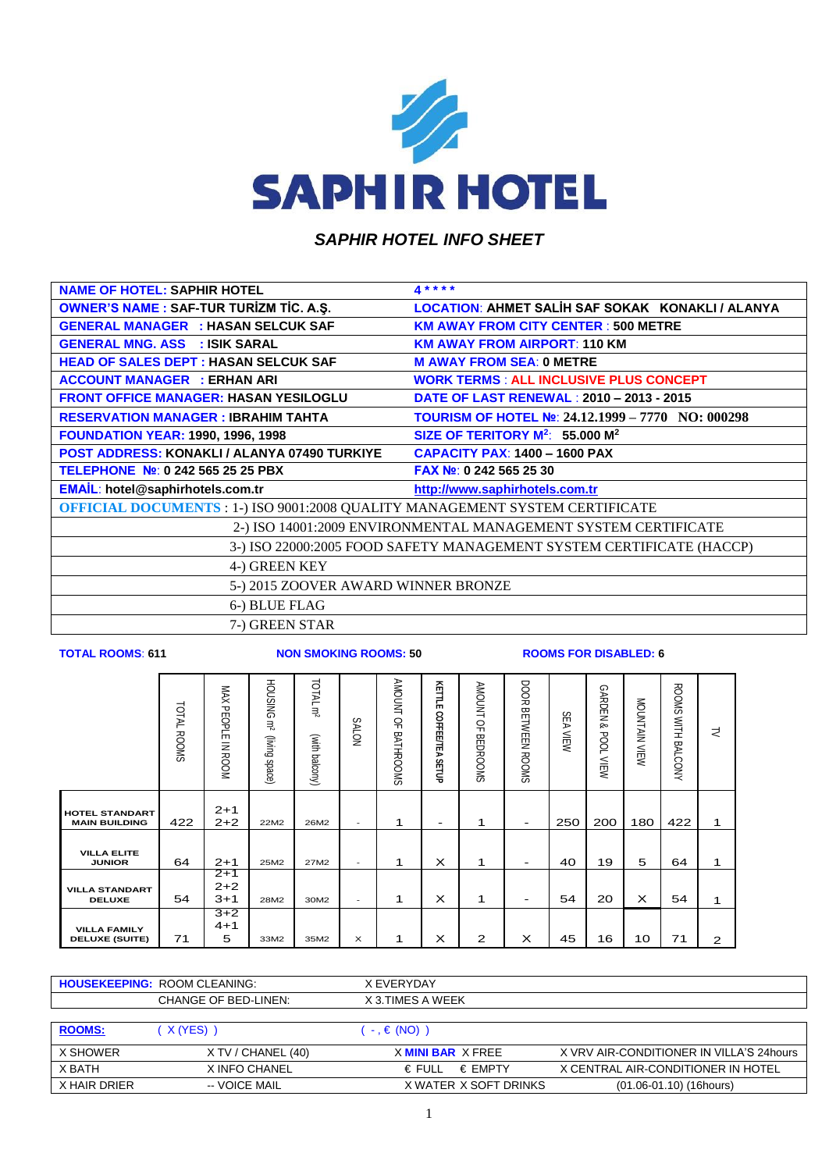

## *SAPHIR HOTEL INFO SHEET*

| <b>NAME OF HOTEL: SAPHIR HOTEL</b>                                                  | $4***$                                                               |
|-------------------------------------------------------------------------------------|----------------------------------------------------------------------|
| <b>OWNER'S NAME : SAF-TUR TURIZM TIC. A.S.</b>                                      | LOCATION: AHMET SALIH SAF SOKAK KONAKLI / ALANYA                     |
| <b>GENERAL MANAGER : HASAN SELCUK SAF</b>                                           | <b>KM AWAY FROM CITY CENTER: 500 METRE</b>                           |
| <b>GENERAL MNG, ASS : ISIK SARAL</b>                                                | <b>KM AWAY FROM AIRPORT: 110 KM</b>                                  |
| <b>HEAD OF SALES DEPT : HASAN SELCUK SAF</b>                                        | <b>M AWAY FROM SEA: 0 METRE</b>                                      |
| <b>ACCOUNT MANAGER : ERHAN ARI</b>                                                  | <b>WORK TERMS: ALL INCLUSIVE PLUS CONCEPT</b>                        |
| <b>FRONT OFFICE MANAGER: HASAN YESILOGLU</b>                                        | DATE OF LAST RENEWAL: 2010 - 2013 - 2015                             |
| <b>RESERVATION MANAGER : IBRAHIM TAHTA</b>                                          | TOURISM OF HOTEL Nº: 24.12.1999 - 7770 NO: 000298                    |
| <b>FOUNDATION YEAR: 1990, 1996, 1998</b>                                            | SIZE OF TERITORY M <sup>2</sup> : 55.000 M <sup>2</sup>              |
| <b>POST ADDRESS: KONAKLI / ALANYA 07490 TURKIYE</b>                                 | <b>CAPACITY PAX: 1400 - 1600 PAX</b>                                 |
| TELEPHONE Nº: 0 242 565 25 25 PBX                                                   | FAX No: 0 242 565 25 30                                              |
| EMAIL: hotel@saphirhotels.com.tr                                                    | http://www.saphirhotels.com.tr                                       |
| <b>OFFICIAL DOCUMENTS : 1-) ISO 9001:2008 QUALITY MANAGEMENT SYSTEM CERTIFICATE</b> |                                                                      |
|                                                                                     | 2-) ISO 14001:2009 ENVIRONMENTAL MANAGEMENT SYSTEM CERTIFICATE       |
|                                                                                     | 3-) ISO 22000:2005 FOOD SAFETY MANAGEMENT SYSTEM CERTIFICATE (HACCP) |
| 4-) GREEN KEY                                                                       |                                                                      |
| 5-) 2015 ZOOVER AWARD WINNER BRONZE                                                 |                                                                      |
| 6-) BLUE FLAG                                                                       |                                                                      |
| 7-) GREEN STAR                                                                      |                                                                      |
|                                                                                     |                                                                      |

**TOTAL ROOMS**: **611 NON SMOKING ROOMS: 50 ROOMS FOR DISABLED: 6**

|                                               | TOTAL ROOMS | MAX PEOPLE IN ROOM          | HOUSING m <sup>2</sup><br>(living space) | TOTAL m <sup>2</sup><br>(with balcony) | <b>NOTVS</b>             | <b>AMOUNT</b><br>$\overline{a}$<br><b>BATHROOMS</b> | KETTLE<br><b>COFFEE/TEA</b><br><b>SETUP</b> | AMOUNT OF<br><b>BEDROOMS</b> | <b>DOOR</b><br><b>BETWEEN</b><br><b>ROOMS</b> | <b>SEA</b><br><b>NIEW</b> | GARDEN &<br><b>POOL</b><br>WEW | MOUNTAIN VIEW | ROOMS WITH BALCONY | さ |
|-----------------------------------------------|-------------|-----------------------------|------------------------------------------|----------------------------------------|--------------------------|-----------------------------------------------------|---------------------------------------------|------------------------------|-----------------------------------------------|---------------------------|--------------------------------|---------------|--------------------|---|
| <b>HOTEL STANDART</b><br><b>MAIN BUILDING</b> | 422         | $2 + 1$<br>$2 + 2$          | 22M2                                     | 26M2                                   | $\overline{\phantom{a}}$ | 1                                                   | $\overline{\phantom{a}}$                    | 1                            | $\overline{\phantom{0}}$                      | 250                       | 200                            | 180           | 422                | 1 |
| <b>VILLA ELITE</b><br><b>JUNIOR</b>           | 64          | $2 + 1$                     | 25M2                                     | 27M2                                   | $\overline{\phantom{a}}$ | 1                                                   | $\times$                                    | 1                            | -                                             | 40                        | 19                             | 5             | 64                 | 1 |
| <b>VILLA STANDART</b><br><b>DELUXE</b>        | 54          | $2+1$<br>$2 + 2$<br>$3 + 1$ | 28M2                                     | 30M2                                   | ۰                        | 1                                                   | X                                           | 1                            | $\overline{\phantom{0}}$                      | 54                        | 20                             | $\times$      | 54                 | 1 |
| <b>VILLA FAMILY</b><br><b>DELUXE (SUITE)</b>  | 71          | $3+2$<br>$4 + 1$<br>5       | 33M2                                     | 35M2                                   | $\times$                 | 1                                                   | $\times$                                    | $\mathbf{2}$                 | $\times$                                      | 45                        | 16                             | 10            | 71                 | 2 |

|               | <b>HOUSEKEEPING: ROOM CLEANING:</b> | X EVERYDAY                 |                                           |
|---------------|-------------------------------------|----------------------------|-------------------------------------------|
|               | <b>CHANGE OF BED-LINEN:</b>         | X 3.TIMES A WEEK           |                                           |
|               |                                     |                            |                                           |
| <b>ROOMS:</b> | ( X (YES) )                         | $\cdot$ , $\in$ (NO))      |                                           |
| X SHOWER      | X TV / CHANEL (40)                  | X MINIBAR X FREE           | X VRV AIR-CONDITIONER IN VILLA'S 24 hours |
| X BATH        | X INFO CHANEL                       | € EMPTY<br>$\epsilon$ FULL | X CENTRAL AIR-CONDITIONER IN HOTEL        |
| X HAIR DRIER  | -- VOICE MAIL                       | X WATER X SOFT DRINKS      | $(01.06 - 01.10)$ (16hours)               |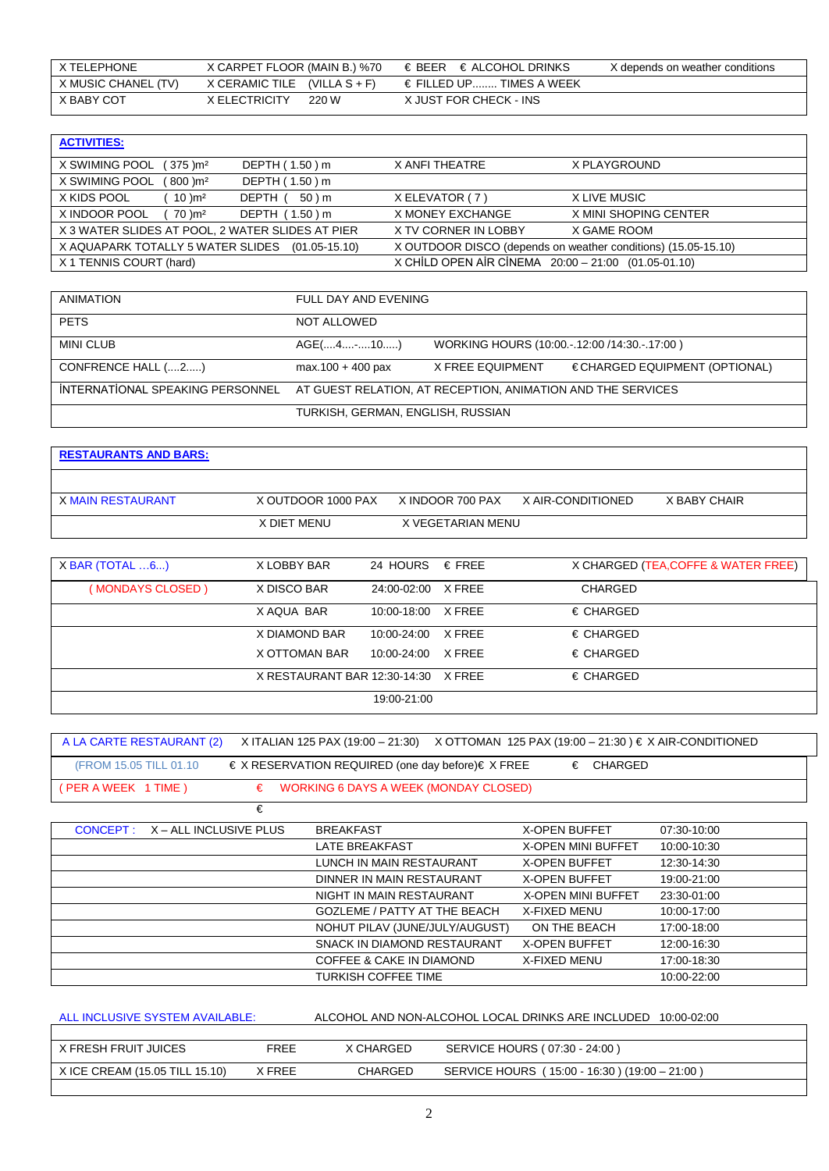| X TELEPHONE         | X CARPET FLOOR (MAIN B.) %70   | $\in$ BEER $\in$ ALCOHOL DRINKS   | X depends on weather conditions |
|---------------------|--------------------------------|-----------------------------------|---------------------------------|
| X MUSIC CHANEL (TV) | X CERAMIC TILE $(VILLA S + F)$ | $\epsilon$ FILLED UP TIMES A WEEK |                                 |
| X BABY COT          | X ELECTRICITY<br>220 W         | X JUST FOR CHECK - INS            |                                 |

| <b>ACTIVITIES:</b>                               |                   |                                                               |                       |
|--------------------------------------------------|-------------------|---------------------------------------------------------------|-----------------------|
| X SWIMING POOL<br>(375 )m <sup>2</sup>           | DEPTH (1.50) m    | X ANFI THEATRE                                                | X PLAYGROUND          |
| X SWIMING POOL<br>$(800)$ m <sup>2</sup>         | DEPTH (1.50) m    |                                                               |                       |
| X KIDS POOL<br>10 )m <sup>2</sup>                | 50 ) m<br>DEPTH ( | X ELEVATOR (7)                                                | X LIVE MUSIC          |
| X INDOOR POOL<br>$\sim$ 70 )m <sup>2</sup>       | DEPTH (1.50) m    | X MONEY EXCHANGE                                              | X MINI SHOPING CENTER |
| X 3 WATER SLIDES AT POOL, 2 WATER SLIDES AT PIER |                   | X TV CORNER IN LOBBY                                          | X GAME ROOM           |
| X AQUAPARK TOTALLY 5 WATER SLIDES (01.05-15.10)  |                   | X OUTDOOR DISCO (depends on weather conditions) (15.05-15.10) |                       |
| X 1 TENNIS COURT (hard)                          |                   | X CHİLD OPEN AİR CİNEMA 20:00 - 21:00 (01.05-01.10)           |                       |

| ANIMATION                        | FULL DAY AND EVENING                                        |                                                 |                               |  |  |
|----------------------------------|-------------------------------------------------------------|-------------------------------------------------|-------------------------------|--|--|
| <b>PETS</b>                      | NOT ALLOWED                                                 |                                                 |                               |  |  |
| <b>MINI CLUB</b>                 | AGE(410)                                                    | WORKING HOURS (10:00. - 12:00 / 14:30. - 17:00) |                               |  |  |
| CONFRENCE HALL (2)               | $max.100 + 400$ pax                                         | X FREE EQUIPMENT                                | €CHARGED EQUIPMENT (OPTIONAL) |  |  |
| INTERNATIONAL SPEAKING PERSONNEL | AT GUEST RELATION, AT RECEPTION, ANIMATION AND THE SERVICES |                                                 |                               |  |  |
|                                  | TURKISH, GERMAN, ENGLISH, RUSSIAN                           |                                                 |                               |  |  |

| <b>RESTAURANTS AND BARS:</b> |                    |                   |                   |              |
|------------------------------|--------------------|-------------------|-------------------|--------------|
|                              |                    |                   |                   |              |
| X MAIN RESTAURANT            | X OUTDOOR 1000 PAX | X INDOOR 700 PAX  | X AIR-CONDITIONED | X BABY CHAIR |
|                              | X DIET MENU        | X VEGETARIAN MENU |                   |              |

| $X$ BAR (TOTAL $6$ ) | X LOBBY BAR                         | 24 HOURS € FREE    | X CHARGED (TEA, COFFE & WATER FREE) |
|----------------------|-------------------------------------|--------------------|-------------------------------------|
| (MONDAYS CLOSED)     | X DISCO BAR                         | 24:00-02:00 X FREE | <b>CHARGED</b>                      |
|                      | X AQUA BAR                          | 10:00-18:00 X FREE | $\epsilon$ CHARGED                  |
|                      | X DIAMOND BAR                       | 10:00-24:00 X FREE | $\epsilon$ CHARGED                  |
|                      | X OTTOMAN BAR                       | 10:00-24:00 X FREE | $\epsilon$ CHARGED                  |
|                      | X RESTAURANT BAR 12:30-14:30 X FREE |                    | $\epsilon$ CHARGED                  |
|                      |                                     | 19:00-21:00        |                                     |

| A LA CARTE RESTAURANT (2) | X ITALIAN 125 PAX (19:00 – 21:30) X OTTOMAN 125 PAX (19:00 – 21:30 ) € X AIR-CONDITIONED |
|---------------------------|------------------------------------------------------------------------------------------|
| (FROM 15.05 TILL 01.10)   | $\in$ X RESERVATION REQUIRED (one day before) $\in$ X FREE<br>€ CHARGED                  |
| (PER A WEEK 1 TIME )      | $\epsilon$ WORKING 6 DAYS A WEEK (MONDAY CLOSED)                                         |

| €                               |                                     |                           |             |
|---------------------------------|-------------------------------------|---------------------------|-------------|
| CONCEPT: X - ALL INCLUSIVE PLUS | <b>BREAKFAST</b>                    | <b>X-OPEN BUFFET</b>      | 07:30-10:00 |
|                                 | <b>LATE BREAKFAST</b>               | <b>X-OPEN MINI BUFFET</b> | 10:00-10:30 |
|                                 | LUNCH IN MAIN RESTAURANT            | <b>X-OPEN BUFFET</b>      | 12:30-14:30 |
|                                 | DINNER IN MAIN RESTAURANT           | <b>X-OPEN BUFFET</b>      | 19:00-21:00 |
|                                 | NIGHT IN MAIN RESTAURANT            | <b>X-OPEN MINI BUFFET</b> | 23:30-01:00 |
|                                 | <b>GOZLEME / PATTY AT THE BEACH</b> | X-FIXED MENU              | 10:00-17:00 |
|                                 | NOHUT PILAV (JUNE/JULY/AUGUST)      | ON THE BEACH              | 17:00-18:00 |
|                                 | SNACK IN DIAMOND RESTAURANT         | <b>X-OPEN BUFFET</b>      | 12:00-16:30 |
|                                 | <b>COFFEE &amp; CAKE IN DIAMOND</b> | <b>X-FIXED MENU</b>       | 17:00-18:30 |
|                                 | <b>TURKISH COFFEE TIME</b>          |                           | 10:00-22:00 |

| ALL INCLUSIVE SYSTEM AVAILABLE: |        |           | ALCOHOL AND NON-ALCOHOL LOCAL DRINKS ARE INCLUDED 10:00-02:00 |
|---------------------------------|--------|-----------|---------------------------------------------------------------|
|                                 |        |           |                                                               |
| X FRESH FRUIT JUICES            | FREE   | X CHARGED | SERVICE HOURS (07:30 - 24:00)                                 |
| X ICE CREAM (15.05 TILL 15.10)  | X FREE | CHARGED   | SERVICE HOURS (15:00 - 16:30) (19:00 - 21:00)                 |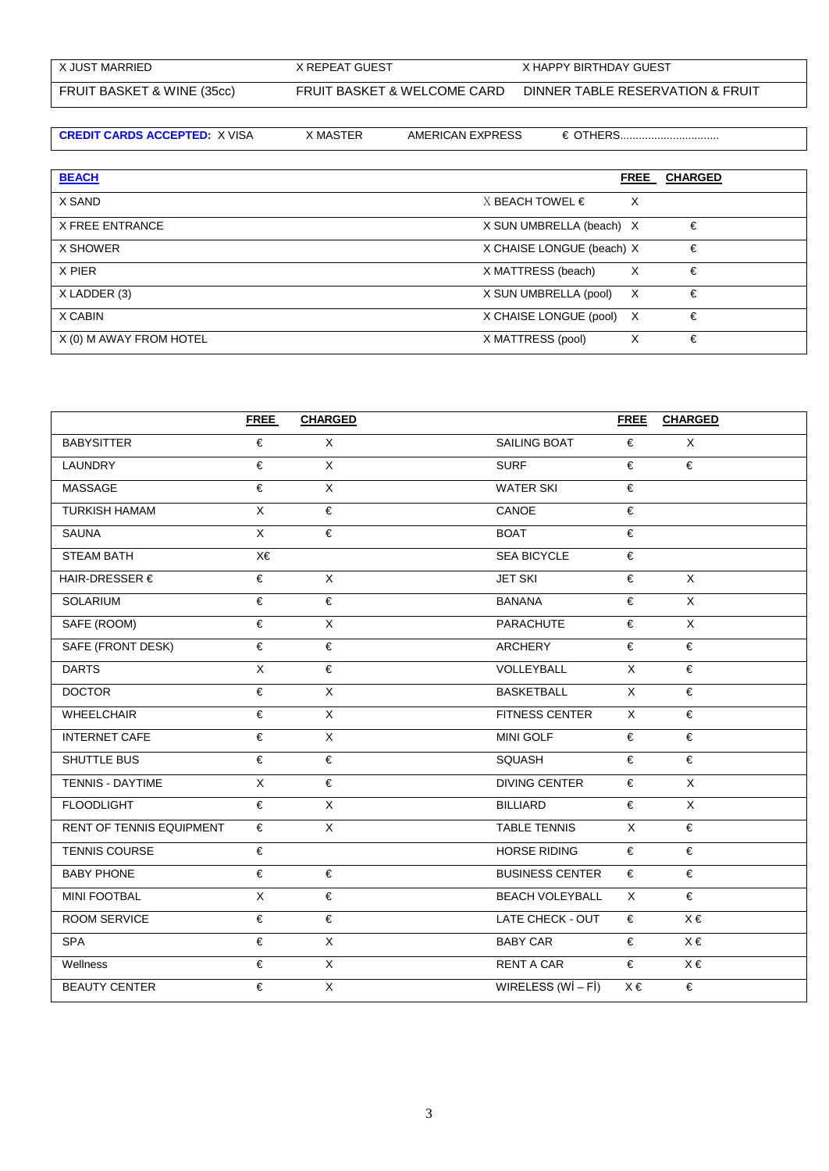| X JUST MARRIED             | X REPEAT GUEST              | X HAPPY BIRTHDAY GUEST           |
|----------------------------|-----------------------------|----------------------------------|
| FRUIT BASKET & WINE (35cc) | FRUIT BASKET & WELCOME CARD | DINNER TABLE RESERVATION & FRUIT |

**CREDIT CARDS ACCEPTED:** X VISA X MASTER AMERICAN EXPRESS € OTHERS................................

| <b>BEACH</b>            |                           | <b>FREE</b> | <b>CHARGED</b> |
|-------------------------|---------------------------|-------------|----------------|
| X SAND                  | X BEACH TOWEL €           | X           |                |
| <b>X FREE ENTRANCE</b>  | X SUN UMBRELLA (beach) X  |             | €              |
| X SHOWER                | X CHAISE LONGUE (beach) X |             | €              |
| X PIER                  | X MATTRESS (beach)        | X           | €              |
| X LADDER (3)            | X SUN UMBRELLA (pool)     | $\times$    | €              |
| X CABIN                 | X CHAISE LONGUE (pool) X  |             | €              |
| X (0) M AWAY FROM HOTEL | X MATTRESS (pool)         | X           | €              |

|                          | <b>FREE</b>           | <b>CHARGED</b> |                        | <b>FREE</b>    | <b>CHARGED</b> |
|--------------------------|-----------------------|----------------|------------------------|----------------|----------------|
| <b>BABYSITTER</b>        | €                     | $\mathsf{X}$   | SAILING BOAT           | €              | X              |
| LAUNDRY                  | €                     | X              | <b>SURF</b>            | €              | €              |
| MASSAGE                  | €                     | $\overline{X}$ | <b>WATER SKI</b>       | €              |                |
| <b>TURKISH HAMAM</b>     | X                     | €              | CANOE                  | €              |                |
| SAUNA                    | $\mathsf{X}$          | €              | <b>BOAT</b>            | €              |                |
| <b>STEAM BATH</b>        | X€                    |                | <b>SEA BICYCLE</b>     | €              |                |
| HAIR-DRESSER $\epsilon$  | €                     | $\mathsf{X}$   | <b>JET SKI</b>         | €              | $\times$       |
| SOLARIUM                 | €                     | €              | <b>BANANA</b>          | €              | X              |
| SAFE (ROOM)              | €                     | X              | <b>PARACHUTE</b>       | €              | X              |
| SAFE (FRONT DESK)        | €                     | €              | <b>ARCHERY</b>         | €              | €              |
| <b>DARTS</b>             | $\overline{X}$        | €              | VOLLEYBALL             | $\mathsf{X}$   | €              |
| <b>DOCTOR</b>            | €                     | $\overline{X}$ | <b>BASKETBALL</b>      | $\overline{X}$ | €              |
| <b>WHEELCHAIR</b>        | €                     | $\mathsf{X}$   | <b>FITNESS CENTER</b>  | $\times$       | €              |
| <b>INTERNET CAFE</b>     | €                     | $\overline{X}$ | MINI GOLF              | €              | €              |
| SHUTTLE BUS              | $\overline{\epsilon}$ | €              | SQUASH                 | €              | €              |
| <b>TENNIS - DAYTIME</b>  | X                     | €              | <b>DIVING CENTER</b>   | €              | $\times$       |
| <b>FLOODLIGHT</b>        | €                     | $\overline{X}$ | <b>BILLIARD</b>        | €              | $\mathsf{X}$   |
| RENT OF TENNIS EQUIPMENT | €                     | $\overline{X}$ | TABLE TENNIS           | $\mathsf{X}$   | €              |
| <b>TENNIS COURSE</b>     | €                     |                | <b>HORSE RIDING</b>    | €              | €              |
| <b>BABY PHONE</b>        | €                     | €              | <b>BUSINESS CENTER</b> | €              | €              |
| <b>MINI FOOTBAL</b>      | $\overline{X}$        | €              | <b>BEACH VOLEYBALL</b> | $\times$       | €              |
| <b>ROOM SERVICE</b>      | €                     | €              | LATE CHECK - OUT       | €              | $X \in$        |
| <b>SPA</b>               | €                     | $\mathsf X$    | <b>BABY CAR</b>        | €              | $X \in$        |
| Wellness                 | €                     | X              | <b>RENT A CAR</b>      | €              | $X \in$        |
| <b>BEAUTY CENTER</b>     | €                     | $\mathsf X$    | WIRELESS $(WI - FI)$   | $X \in$        | €              |